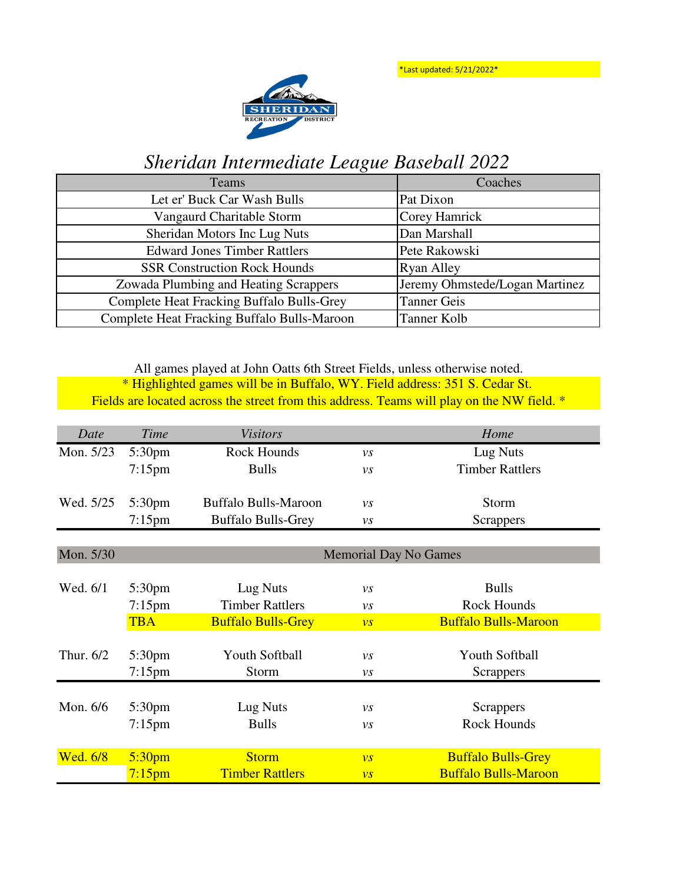\*Last updated: 5/21/2022\*



## *Sheridan Intermediate League Baseball 2022*

| Teams                                            | Coaches                        |
|--------------------------------------------------|--------------------------------|
| Let er' Buck Car Wash Bulls                      | Pat Dixon                      |
| Vangaurd Charitable Storm                        | Corey Hamrick                  |
| Sheridan Motors Inc Lug Nuts                     | Dan Marshall                   |
| <b>Edward Jones Timber Rattlers</b>              | Pete Rakowski                  |
| <b>SSR Construction Rock Hounds</b>              | <b>Ryan Alley</b>              |
| Zowada Plumbing and Heating Scrappers            | Jeremy Ohmstede/Logan Martinez |
| <b>Complete Heat Fracking Buffalo Bulls-Grey</b> | <b>Tanner Geis</b>             |
| Complete Heat Fracking Buffalo Bulls-Maroon      | Tanner Kolb                    |

\* Highlighted games will be in Buffalo, WY. Field address: 351 S. Cedar St. Fields are located across the street from this address. Teams will play on the NW field. \* All games played at John Oatts 6th Street Fields, unless otherwise noted.

| Date      | Time               | <b>Visitors</b>             |                              | Home                        |  |
|-----------|--------------------|-----------------------------|------------------------------|-----------------------------|--|
| Mon. 5/23 | 5:30 <sub>pm</sub> | Rock Hounds                 | $\nu s$                      | Lug Nuts                    |  |
|           | $7:15$ pm          | <b>Bulls</b>                | $\nu s$                      | <b>Timber Rattlers</b>      |  |
|           |                    |                             |                              |                             |  |
| Wed. 5/25 | 5:30 <sub>pm</sub> | <b>Buffalo Bulls-Maroon</b> | $\nu s$                      | Storm                       |  |
|           | $7:15$ pm          | <b>Buffalo Bulls-Grey</b>   | VS                           | Scrappers                   |  |
|           |                    |                             |                              |                             |  |
| Mon. 5/30 |                    |                             | <b>Memorial Day No Games</b> |                             |  |
|           |                    |                             |                              |                             |  |
| Wed. 6/1  | 5:30 <sub>pm</sub> | Lug Nuts                    | $\nu s$                      | <b>Bulls</b>                |  |
|           | $7:15$ pm          | <b>Timber Rattlers</b>      | $\mathcal{V}\mathcal{S}$     | Rock Hounds                 |  |
|           | <b>TBA</b>         | <b>Buffalo Bulls-Grey</b>   | $\overline{\nu s}$           | <b>Buffalo Bulls-Maroon</b> |  |
|           |                    |                             |                              |                             |  |
| Thur. 6/2 | 5:30pm             | Youth Softball              | VS                           | Youth Softball              |  |
|           | $7:15$ pm          | Storm                       | VS                           | <b>Scrappers</b>            |  |
|           |                    |                             |                              |                             |  |
| Mon. 6/6  | 5:30 <sub>pm</sub> | Lug Nuts                    | $\nu s$                      | <b>Scrappers</b>            |  |
|           | $7:15$ pm          | <b>Bulls</b>                | VS                           | <b>Rock Hounds</b>          |  |
|           |                    |                             |                              |                             |  |
| Wed. 6/8  | 5:30 <sub>pm</sub> | <b>Storm</b>                | $\overline{\nu}$ s           | <b>Buffalo Bulls-Grey</b>   |  |
|           | $7:15$ pm          | <b>Timber Rattlers</b>      | $\overline{\nu s}$           | <b>Buffalo Bulls-Maroon</b> |  |